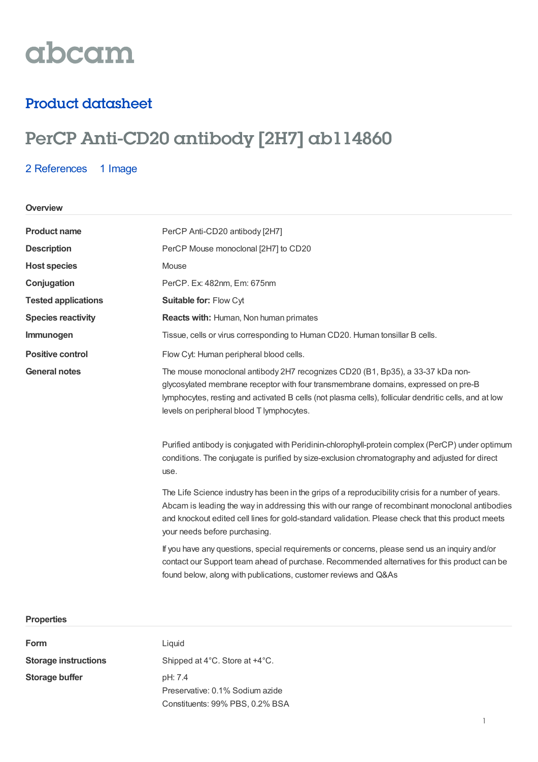# abcam

### Product datasheet

## PerCP Anti-CD20 antibody [2H7] ab114860

#### 2 [References](https://www.abcam.com/percp-cd20-antibody-2h7-ab114860.html#description_references) 1 Image

#### **Overview**

| <b>Product name</b>        | PerCP Anti-CD20 antibody [2H7]                                                                                                                                                                                                                                                                                                              |  |  |
|----------------------------|---------------------------------------------------------------------------------------------------------------------------------------------------------------------------------------------------------------------------------------------------------------------------------------------------------------------------------------------|--|--|
| <b>Description</b>         | PerCP Mouse monoclonal [2H7] to CD20                                                                                                                                                                                                                                                                                                        |  |  |
| <b>Host species</b>        | Mouse                                                                                                                                                                                                                                                                                                                                       |  |  |
| Conjugation                | PerCP. Ex: 482nm, Em: 675nm                                                                                                                                                                                                                                                                                                                 |  |  |
| <b>Tested applications</b> | Suitable for: Flow Cyt                                                                                                                                                                                                                                                                                                                      |  |  |
| <b>Species reactivity</b>  | Reacts with: Human, Non human primates                                                                                                                                                                                                                                                                                                      |  |  |
| Immunogen                  | Tissue, cells or virus corresponding to Human CD20. Human tonsillar B cells.                                                                                                                                                                                                                                                                |  |  |
| <b>Positive control</b>    | Flow Cyt: Human peripheral blood cells.                                                                                                                                                                                                                                                                                                     |  |  |
| <b>General notes</b>       | The mouse monoclonal antibody 2H7 recognizes CD20 (B1, Bp35), a 33-37 kDa non-<br>glycosylated membrane receptor with four transmembrane domains, expressed on pre-B<br>lymphocytes, resting and activated B cells (not plasma cells), follicular dendritic cells, and at low<br>levels on peripheral blood T lymphocytes.                  |  |  |
|                            | Purified antibody is conjugated with Peridinin-chlorophyll-protein complex (PerCP) under optimum<br>conditions. The conjugate is purified by size-exclusion chromatography and adjusted for direct<br>use.                                                                                                                                  |  |  |
|                            | The Life Science industry has been in the grips of a reproducibility crisis for a number of years.<br>Abcam is leading the way in addressing this with our range of recombinant monoclonal antibodies<br>and knockout edited cell lines for gold-standard validation. Please check that this product meets<br>your needs before purchasing. |  |  |
|                            | If you have any questions, special requirements or concerns, please send us an inquiry and/or<br>contact our Support team ahead of purchase. Recommended alternatives for this product can be<br>found below, along with publications, customer reviews and Q&As                                                                            |  |  |

#### **Properties**

| <b>Form</b>                 | Liguid                                             |
|-----------------------------|----------------------------------------------------|
| <b>Storage instructions</b> | Shipped at $4^{\circ}$ C. Store at $+4^{\circ}$ C. |
| Storage buffer              | pH: 7.4<br>Preservative: 0.1% Sodium azide         |

Constituents: 99% PBS, 0.2% BSA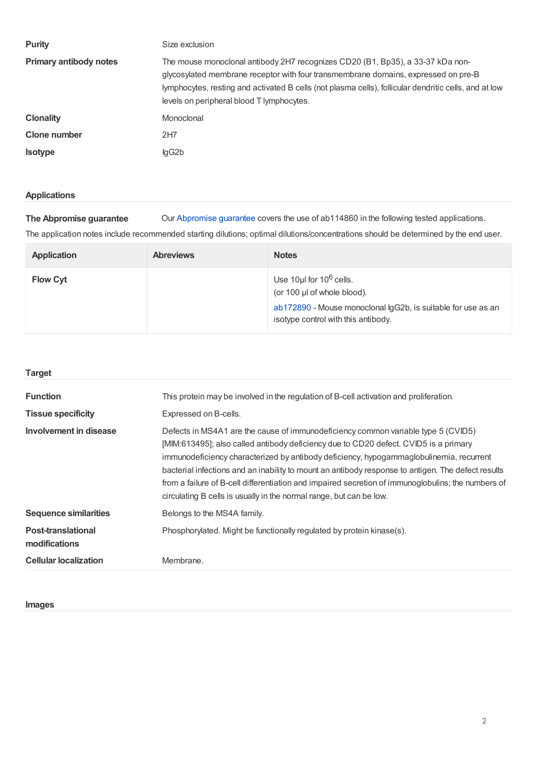| <b>Purity</b>                 | Size exclusion                                                                                                                                                                                                                                                                                                             |
|-------------------------------|----------------------------------------------------------------------------------------------------------------------------------------------------------------------------------------------------------------------------------------------------------------------------------------------------------------------------|
| <b>Primary antibody notes</b> | The mouse monoclonal antibody 2H7 recognizes CD20 (B1, Bp35), a 33-37 kDa non-<br>glycosylated membrane receptor with four transmembrane domains, expressed on pre-B<br>lymphocytes, resting and activated B cells (not plasma cells), follicular dendritic cells, and at low<br>levels on peripheral blood T lymphocytes. |
| <b>Clonality</b>              | Monoclonal                                                                                                                                                                                                                                                                                                                 |
| Clone number                  | 2H7                                                                                                                                                                                                                                                                                                                        |
| <b>Isotype</b>                | lgG2b                                                                                                                                                                                                                                                                                                                      |

#### **Applications**

**The Abpromise guarantee** Our [Abpromise](https://www.abcam.com/abpromise) guarantee covers the use of ab114860 in the following tested applications.

The application notes include recommended starting dilutions; optimal dilutions/concentrations should be determined by the end user.

| <b>Application</b> | <b>Abreviews</b> | <b>Notes</b>                                                                                                                                                                 |
|--------------------|------------------|------------------------------------------------------------------------------------------------------------------------------------------------------------------------------|
| <b>Flow Cyt</b>    |                  | Use 10 $\mu$ I for 10 $\rm{^6}$ cells.<br>(or 100 µl of whole blood).<br>ab172890 - Mouse monoclonal IgG2b, is suitable for use as an<br>isotype control with this antibody. |

#### **Target**

| <b>Function</b>                            | This protein may be involved in the regulation of B-cell activation and proliferation.                                                                                                                                                                                                                                                                                                                                                                                                                                                                  |
|--------------------------------------------|---------------------------------------------------------------------------------------------------------------------------------------------------------------------------------------------------------------------------------------------------------------------------------------------------------------------------------------------------------------------------------------------------------------------------------------------------------------------------------------------------------------------------------------------------------|
| <b>Tissue specificity</b>                  | Expressed on B-cells.                                                                                                                                                                                                                                                                                                                                                                                                                                                                                                                                   |
| Involvement in disease                     | Defects in MS4A1 are the cause of immunodeficiency common variable type 5 (CVID5)<br>[MIM:613495]; also called antibody deficiency due to CD20 defect. CVID5 is a primary<br>immunodeficiency characterized by antibody deficiency, hypogammaglobulinemia, recurrent<br>bacterial infections and an inability to mount an antibody response to antigen. The defect results<br>from a failure of B-cell differentiation and impaired secretion of immunoglobulins; the numbers of<br>circulating B cells is usually in the normal range, but can be low. |
| <b>Sequence similarities</b>               | Belongs to the MS4A family.                                                                                                                                                                                                                                                                                                                                                                                                                                                                                                                             |
| <b>Post-translational</b><br>modifications | Phosphorylated. Might be functionally regulated by protein kinase(s).                                                                                                                                                                                                                                                                                                                                                                                                                                                                                   |
| <b>Cellular localization</b>               | Membrane.                                                                                                                                                                                                                                                                                                                                                                                                                                                                                                                                               |